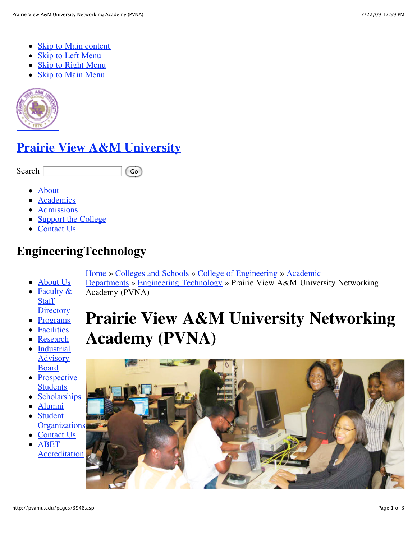- [Skip to Main content](http://pvamu.edu/pages/3948.asp#main-content)
- [Skip to Left Menu](http://pvamu.edu/pages/3948.asp#left-menu)
- [Skip to Right Menu](http://pvamu.edu/pages/3948.asp#right-menu)
- [Skip to Main Menu](http://pvamu.edu/pages/3948.asp#main-menu)



## **[Prairie View A&M University](http://pvamu.edu/)**

Search Go

- [About](http://pvamu.edu/pages/179.asp)
- [Academics](http://pvamu.edu/pages/181.asp)
- [Admissions](http://www.pvamu.edu/pages/2564.asp)
- [Support the College](http://pvamu.edu/pages/190.asp)
- [Contact Us](http://pvamu.edu/pages/578.asp)

## **EngineeringTechnology**

[Home](http://pvamu.edu/pages/1.asp) [»](http://pvamu.edu/pages/181.asp) [Colleges and Schools](http://pvamu.edu/pages/128.asp) [»](http://pvamu.edu/pages/181.asp) [College of Engineering](http://pvamu.edu/pages/178.asp) [» Academic](http://pvamu.edu/pages/181.asp)

- [About Us](http://pvamu.edu/pages/3173.asp) Departments » [Engineering Technology](http://pvamu.edu/pages/188.asp) » Prairie View A&M University Networking Academy (PVNA)
- [Faculty &](http://pvamu.edu/pages/3519.asp) **Staff Directory**
- [Programs](http://pvamu.edu/pages/3174.asp)
- [Facilities](http://pvamu.edu/pages/3182.asp)
- [Research](http://pvamu.edu/pages/3193.asp)
- [Industrial](http://pvamu.edu/pages/3191.asp) Advisory Board
- [Prospective](http://pvamu.edu/pages/3192.asp) **Students**
- [Scholarships](http://pvamu.edu/pages/3194.asp)
- [Alumni](http://pvamu.edu/pages/3178.asp)
- Student **[Organizations](http://pvamu.edu/pages/3195.asp)**
- [Contact Us](http://pvamu.edu/pages/3179.asp)
- ABET [Accreditation](http://pvamu.edu/pages/5732.asp)

# **Prairie View A&M University Networking Academy (PVNA)**

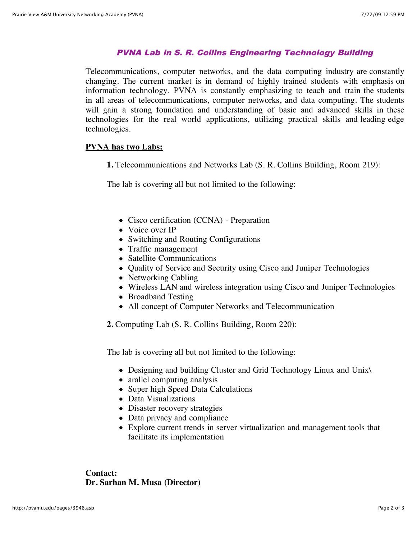#### PVNA Lab in S. R. Collins Engineering Technology Building

Telecommunications, computer networks, and the data computing industry are constantly changing. The current market is in demand of highly trained students with emphasis on information technology. PVNA is constantly emphasizing to teach and train the students in all areas of telecommunications, computer networks, and data computing. The students will gain a strong foundation and understanding of basic and advanced skills in these technologies for the real world applications, utilizing practical skills and leading edge technologies.

#### **PVNA has two Labs:**

**1.** Telecommunications and Networks Lab (S. R. Collins Building, Room 219):

The lab is covering all but not limited to the following:

- Cisco certification (CCNA) Preparation
- Voice over IP
- Switching and Routing Configurations
- Traffic management
- Satellite Communications
- Quality of Service and Security using Cisco and Juniper Technologies
- Networking Cabling
- Wireless LAN and wireless integration using Cisco and Juniper Technologies
- Broadband Testing
- All concept of Computer Networks and Telecommunication

**2.** Computing Lab (S. R. Collins Building, Room 220):

The lab is covering all but not limited to the following:

- Designing and building Cluster and Grid Technology Linux and Unix\
- arallel computing analysis
- Super high Speed Data Calculations
- Data Visualizations
- Disaster recovery strategies
- Data privacy and compliance
- Explore current trends in server virtualization and management tools that facilitate its implementation

**Contact: Dr. Sarhan M. Musa (Director)**